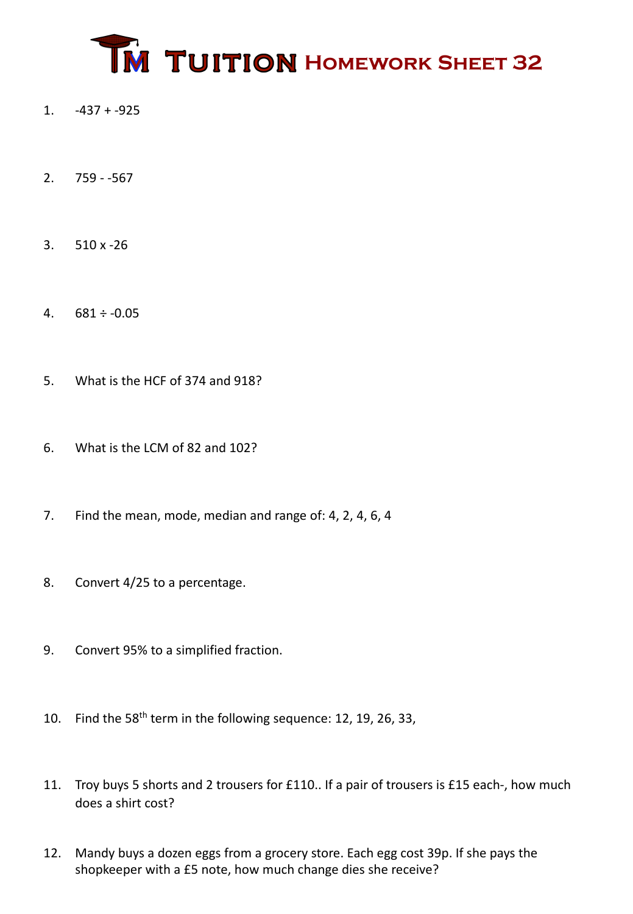

- $1. -437 + -925$
- 2. 759 -567
- 3. 510 x -26
- 4.  $681 \div -0.05$
- 5. What is the HCF of 374 and 918?
- 6. What is the LCM of 82 and 102?
- 7. Find the mean, mode, median and range of: 4, 2, 4, 6, 4
- 8. Convert 4/25 to a percentage.
- 9. Convert 95% to a simplified fraction.
- 10. Find the 58<sup>th</sup> term in the following sequence: 12, 19, 26, 33,
- 11. Troy buys 5 shorts and 2 trousers for £110.. If a pair of trousers is £15 each-, how much does a shirt cost?
- 12. Mandy buys a dozen eggs from a grocery store. Each egg cost 39p. If she pays the shopkeeper with a £5 note, how much change dies she receive?